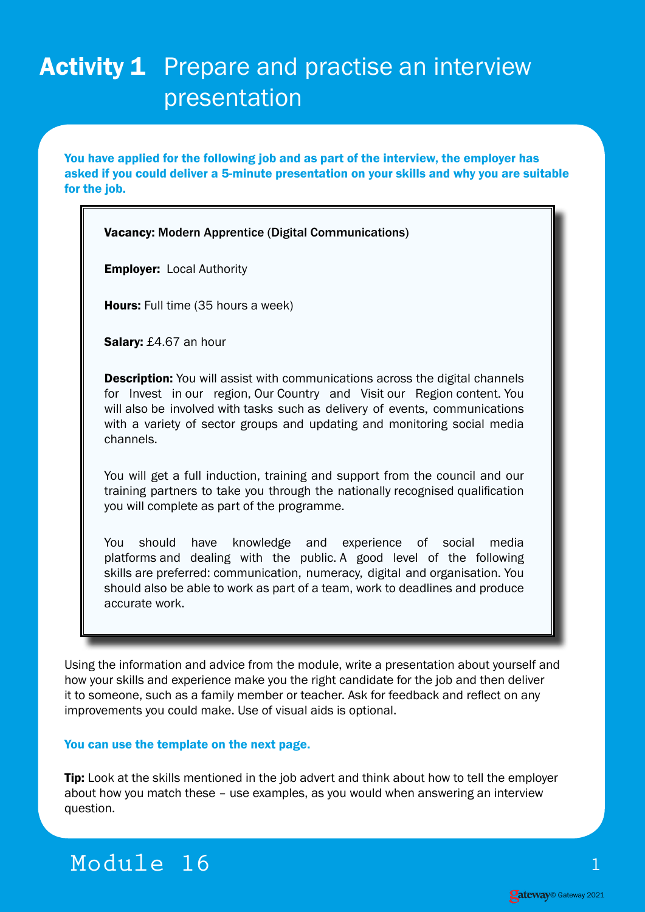## Activity 1 Prepare and practise an interview presentation

You have applied for the following job and as part of the interview, the employer has asked if you could deliver a 5-minute presentation on your skills and why you are suitable for the job.

## Vacancy: Modern Apprentice (Digital Communications)

**Employer: Local Authority** 

Hours: Full time (35 hours a week)

Salary: £4.67 an hour

**Description:** You will assist with communications across the digital channels for Invest in our region, Our Country and Visit our Region content. You will also be involved with tasks such as delivery of events, communications with a variety of sector groups and updating and monitoring social media channels.

You will get a full induction, training and support from the council and our training partners to take you through the nationally recognised qualification you will complete as part of the programme.

You should have knowledge and experience of social media platforms and dealing with the public. A good level of the following skills are preferred: communication, numeracy, digital and organisation. You should also be able to work as part of a team, work to deadlines and produce accurate work.

Using the information and advice from the module, write a presentation about yourself and how your skills and experience make you the right candidate for the job and then deliver it to someone, such as a family member or teacher. Ask for feedback and reflect on any improvements you could make. Use of visual aids is optional.

## You can use the template on the next page.

**Tip:** Look at the skills mentioned in the job advert and think about how to tell the employer about how you match these – use examples, as you would when answering an interview question.

## Module 16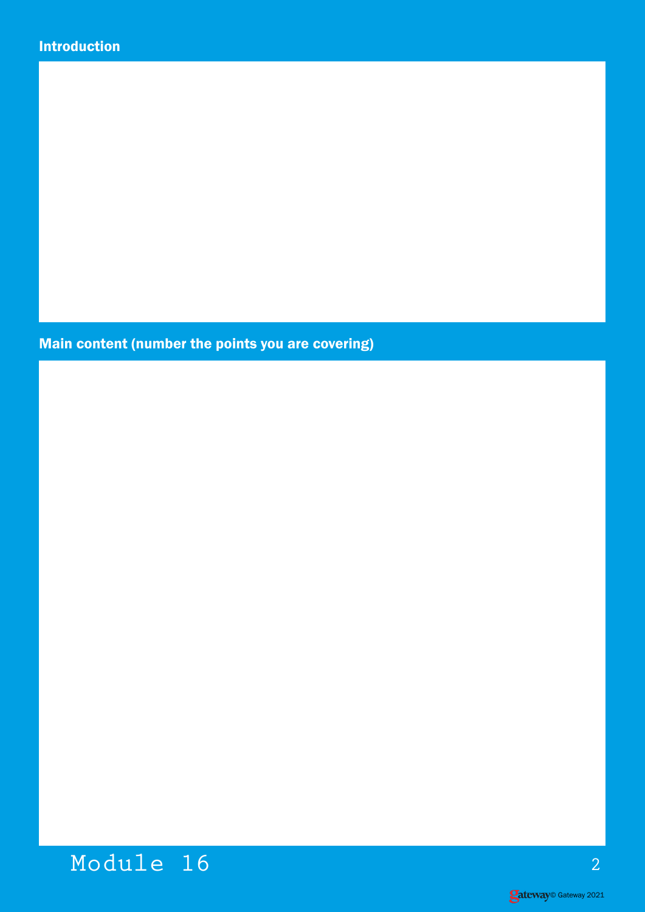Main content (number the points you are covering)